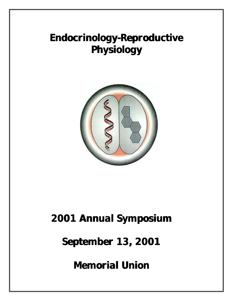# *Endocrinology-Reproductive Physiology*



# *2001 Annual Symposium*

# *September 13, 2001*

*Memorial Union*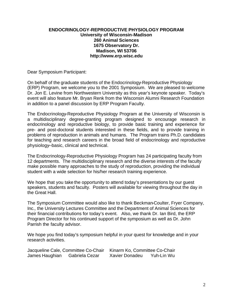#### **ENDOCRINOLOGY-REPRODUCTIVE PHYSIOLOGY PROGRAM University of Wisconsin-Madison 260 Animal Sciences 1675 Observatory Dr. Madison, WI 53706 http://www.erp.wisc.edu**

Dear Symposium Participant:

On behalf of the graduate students of the Endocrinology-Reproductive Physiology (ERP) Program, we welcome you to the 2001 Symposium. We are pleased to welcome Dr. Jon E. Levine from Northwestern University as this year's keynote speaker. Today's event will also feature Mr. Bryan Renk from the Wisconsin Alumni Research Foundation in addition to a panel discussion by ERP Program Faculty.

The Endocrinology-Reproductive Physiology Program at the University of Wisconsin is a multidisciplinary degree-granting program designed to encourage research in endocrinology and reproductive biology, to provide basic training and experience for pre- and post-doctoral students interested in these fields, and to provide training in problems of reproduction in animals and humans. The Program trains Ph.D. candidates for teaching and research careers in the broad field of endocrinology and reproductive physiology--basic, clinical and technical.

The Endocrinology-Reproductive Physiology Program has 24 participating faculty from 12 departments. The multidisciplinary research and the diverse interests of the faculty make possible many approaches to the study of reproduction, providing the individual student with a wide selection for his/her research training experience.

We hope that you take the opportunity to attend today's presentations by our quest speakers, students and faculty. Posters will available for viewing throughout the day in the Great Hall.

The Symposium Committee would also like to thank Beckman-Coulter, Fryer Company, Inc., the University Lectures Committee and the Department of Animal Sciences for their financial contributions for today's event. Also, we thank Dr. Ian Bird, the ERP Program Director for his continued support of the symposium as well as Dr. John Parrish the faculty advisor.

We hope you find today's symposium helpful in your quest for knowledge and in your research activities.

Jacqueline Cale, Committee Co-Chair Kinarm Ko, Committee Co-Chair James Haughian Gabriela Cezar Xavier Donadeu Yuh-Lin Wu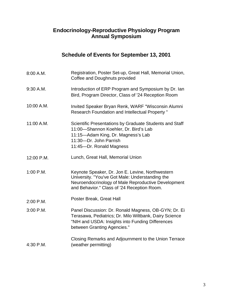## **Endocrinology-Reproductive Physiology Program Annual Symposium**

## **Schedule of Events for September 13, 2001**

| 8:00 A.M.   | Registration, Poster Set-up, Great Hall, Memorial Union,<br>Coffee and Doughnuts provided                                                                                                                 |
|-------------|-----------------------------------------------------------------------------------------------------------------------------------------------------------------------------------------------------------|
| $9:30$ A.M. | Introduction of ERP Program and Symposium by Dr. Ian<br>Bird, Program Director, Class of '24 Reception Room                                                                                               |
| 10:00 A.M.  | Invited Speaker Bryan Renk, WARF "Wisconsin Alumni<br>Research Foundation and Intellectual Property"                                                                                                      |
| 11:00 A.M.  | Scientific Presentations by Graduate Students and Staff<br>11:00-Shannon Koehler, Dr. Bird's Lab<br>11:15-Adam King, Dr. Magness's Lab<br>11:30-Dr. John Parrish<br>11:45-Dr. Ronald Magness              |
| 12:00 P.M.  | Lunch, Great Hall, Memorial Union                                                                                                                                                                         |
| 1:00 P.M.   | Keynote Speaker, Dr. Jon E. Levine, Northwestern<br>University. "You've Got Male: Understanding the<br>Neuroendocrinology of Male Reproductive Development<br>and Behavior." Class of '24 Reception Room. |
| 2:00 P.M.   | Poster Break, Great Hall                                                                                                                                                                                  |
| 3:00 P.M.   | Panel Discussion: Dr. Ronald Magness, OB-GYN; Dr. Ei<br>Terasawa, Pediatrics; Dr. Milo Wiltbank, Dairy Science<br>"NIH and USDA: Insights into Funding Differences<br>between Granting Agencies."         |
| 4:30 P.M.   | Closing Remarks and Adjournment to the Union Terrace<br>(weather permitting)                                                                                                                              |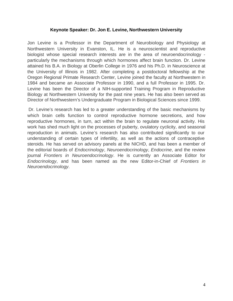#### **Keynote Speaker: Dr. Jon E. Levine, Northwestern University**

Jon Levine is a Professor in the Department of Neurobiology and Physiology at Northwestern University in Evanston, IL. He is a neuroscientist and reproductive biologist whose special research interests are in the area of neuroendocrinology particularly the mechanisms through which hormones affect brain function. Dr. Levine attained his B.A. in Biology at Oberlin College in 1976 and his Ph.D. in Neuroscience at the University of Illinois in 1982. After completing a postdoctoral fellowship at the Oregon Regional Primate Research Center, Levine joined the faculty at Northwestern in 1984 and became an Associate Professor in 1990, and a full Professor in 1995. Dr. Levine has been the Director of a NIH-supported Training Program in Reproductive Biology at Northwestern University for the past nine years. He has also been served as Director of Northwestern's Undergraduate Program in Biological Sciences since 1999.

Dr. Levine's research has led to a greater understanding of the basic mechanisms by which brain cells function to control reproductive hormone secretions, and how reproductive hormones, in turn, act within the brain to regulate neuronal activity. His work has shed much light on the processes of puberty, ovulatory cyclicity, and seasonal reproduction in animals. Levine's research has also contributed significantly to our understanding of certain types of infertility, as well as the actions of contraceptive steroids. He has served on advisory panels at the NICHD, and has been a member of the editorial boards of *Endocrinology*, *Neuroendocrinology*, *Endocrine*, and the review journal *Frontiers in Neuroendocrinology*. He is currently an Associate Editor for *Endocrinology*, and has been named as the new Editor-in-Chief of *Frontiers in Neuroendocrinology*.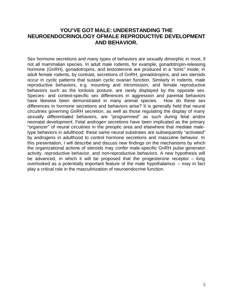### **YOU'VE GOT MALE: UNDERSTANDING THE NEUROENDOCRINOLOGY OFMALE REPRODUCTIVE DEVELOPMENT AND BEHAVIOR.**

Sex hormone secretions and many types of behaviors are sexually dimorphic in most, if not all mammalian species. In adult male rodents, for example, gonadotropin-releasing hormone (GnRH), gonadotropins, and testosterone are produced in a "tonic" mode; in adult female rodents, by contrast, secretions of GnRH, gonadotropins, and sex steroids occur in cyclic patterns that sustain cyclic ovarian function. Similarly in rodents, male reproductive behaviors, e.g. mounting and intromission, and female reproductive behaviors such as the lordosis posture, are rarely displayed by the opposite sex. Species- and context-specific sex differences in aggression and parental behaviors have likewise been demonstrated in many animal species. How do these sex differences in hormone secretions and behaviors arise? It is generally held that neural circuitries governing GnRH secretion, as well as those regulating the display of many sexually differentiated behaviors, are "programmed" as such during fetal and/or neonatal development. Fetal androgen secretions have been implicated as the primary "organizer" of neural circuitries in the preoptic area and elsewhere that mediate maletype behaviors in adulthood; these same neural substrates are subsequently "activated" by androgens in adulthood to control hormone secretions and masculine behavior. In this presentation, I will describe and discuss new findings on the mechanisms by which the organizational actions of steroids may confer male-specific GnRH pulse generator activity, reproductive behavior, and non-reproductive behaviors. A new hypothesis will be advanced, in which it will be proposed that the progesterone receptor – long overlooked as a potentially important feature of the male hypothalamus – may in fact play a critical role in the masculinization of neuroendocrine function.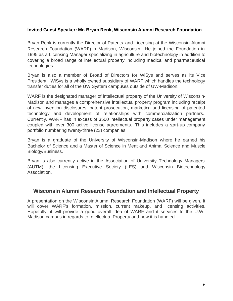#### **Invited Guest Speaker: Mr. Bryan Renk, Wisconsin Alumni Research Foundation**

Bryan Renk is currently the Director of Patents and Licensing at the Wisconsin Alumni Research Foundation (WARF) n Madison, Wisconsin. He joined the Foundation in 1995 as a Licensing Manager specializing in agriculture and biotechnology in addition to covering a broad range of intellectual property including medical and pharmaceutical technologies.

Bryan is also a member of Broad of Directors for WiSys and serves as its Vice President. WiSys is a wholly owned subsidiary of WARF which handles the technology transfer duties for all of the UW System campuses outside of UW-Madison.

WARF is the designated manager of intellectual property of the University of Wisconsin-Madison and manages a comprehensive intellectual property program including receipt of new invention disclosures, patent prosecution, marketing and licensing of patented technology and development of relationships with commercialization partners. Currently, WARF has in excess of 3500 intellectual property cases under management coupled with over 300 active license agreements. This includes a start-up company portfolio numbering twenty-three (23) companies.

Bryan is a graduate of the University of Wisconsin-Madison where he earned his Bachelor of Science and a Master of Science in Meat and Animal Science and Muscle Biology/Business.

Bryan is also currently active in the Association of University Technology Managers (AUTM), the Licensing Executive Society (LES) and Wisconsin Biotechnology Association.

## **Wisconsin Alumni Research Foundation and Intellectual Property**

A presentation on the Wisconsin Alumni Research Foundation (WARF) will be given. It will cover WARF's formation, mission, current makeup, and licensing activities. Hopefully, it will provide a good overall idea of WARF and it services to the U.W. Madison campus in regards to Intellectual Property and how it is handled.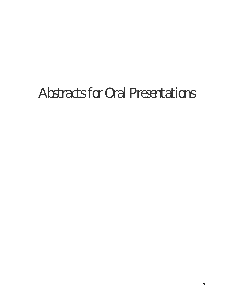# *Abstracts for Oral Presentations*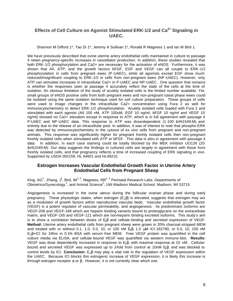#### **Effects of Cell Culture on Agonist Stimulated ERK-1/2 and Ca2+ Signaling in UAEC.**

Shannon M Gifford 1\*, Tao Di 1\*, Jeremy A Sullivan 1\*, Ronald R Magness 1 and Ian M Bird 1.

We have previously described that ovine uterine artery endothelial cells maintained in culture to passage 4 retain pregnancy-specific increases in vasodilator production. In addition, these studies revealed that both ERK-1/2 phosphorylation and Ca2+ are necessary for the activation of eNOS. Furthermore, it was shown that AII, ATP, and the growth factors bFGF, EGF and VEGF can all couple to ERK -1/2 phosphorylation in cells from pregnant ewes (P-UAEC), while all agonists except EGF show much reduced/insignificant coupling to ERK-1/2 in cells from non-pregnant ewes (NP-UAEC). However, only ATP can stimulate increases in intracellular Ca2+ in P-UAEC and NP-UAEC. One question that remains is whether the responses seen at passage 4 accurately reflect the state of the cells at the time of isolation. An obvious limitation of the study of acutely isolated cells is the limited number available. Yet, small groups of eNOS positive cells from both pregnant ewes and non-pregnant luteal phase ewes could be isolated using the same isolation technique used for cell culture preparation. These groups of cells were used to image changes in the intracellular Ca2+ concentration using Fura 2 as well for immunocytochemistry to detect ERK-1/2 phosphorylation. Acutely isolated cells loaded with Fura 2 and stimulated with each agonist (AII 100 nM, ATP 100uM, EGF 10 ng/ml, bFGF 10 ng/ml and VEGF 10 ng/ml) showed no Ca2+ elevation except in response to ATP, which is in full agreement with passage 4 P-UAEC and NP-UAEC data. This response to ATP was dose-dependent (1-100 M) and entirely due to the release of an intracellular pool. In addition, it was of interest to note that phospho-ERK was detected by immunocytochemistry in the cytosol of ex vivo cells from pregnant and non-pregnant animals. This response was significantly higher for pregnant freshly isolated cells then non-pregnant freshly isolated cells when stimulated with ATP or bFGF. This data is also in agreement with passage 4 data. In addition, in each case staining could be totally blocked by the MEK inhibitor UO126 (20 M). Our data suggests the findings in cultured cells are largely in agreement with those from freshly isolated cells, and that pregnancy reflects a time of increased coupling of ERK signaling in vivo. Supported by USDA 002159, HL 64601 and HL49210.

#### **Estrogen Increases Vascular Endothelial Growth Factor in Uterine Artery Endothelial Cells from Pregnant Sheep**

King, AG<sup>1</sup>, Zhang, J<sup>1</sup>, Bird, IM<sup>1,2</sup>, Magness, RR<sup>1, 2</sup> Perinatal Research Labs, Departments of Obstetrics/Gynecology<sup>1</sup>, and Animal Science<sup>2</sup>, UW-Madison Medical School, Madison, WI 53715

Angiogenesis is increased in the ovine uterus during the follicular ovarian phase and during early pregnancy. These physiologic states, when estrogen ( $E_2\beta$ ) is elevated, suggests that estrogen may act as a modulator of growth factors within reproductive vascular beds. Vascular endothelial growth factor (VEGF) is a potent regulator of vascular permeability, and angiogenesis. Its predominant isoforms are VEGF-206 and VEGF-189 which are heparin binding variants bound to proteoglycans on the extracellular matrix, and VEGF-165 and VEGF-121 which are non-heparin binding excreted isoforms. This study's aim is to show a correlation between doses of E2β and cellular-binding and secreted expression of VEGF. **Method:** Uterine artery endothelial cells from pregnant sheep were grown in 20% charcoal-stripped MEM and treated with or without 0.1, 1.0, 5.0, 10, or 100 nM E2β, 1.0 μM ICI-182780, or 5.0, 10, 100 nM E2β+ICI for 24hrs in 0.1% BSA with serum free MEM. Free VEGF protein was quantified in the cell culture media via ELISA, and cellular-bound VEGF was quantified via western immuno-blot. **Results:**  VEGF was dose dependently increased in response to  $E_2$ β, with maximal response at 10 nM. Cellularbound and secreted VEGF was expressed up to 2-fold from control at 10nM E2β, and was blocked to control levels by ICI. **Conclusion:** E2β may play a vital role in the regulation of VEGF expression within the UAEC. Because ICI blocks this estrogenic increase of VEGF expression, it is likely this increase is through estrogen receptor  $\alpha$  or  $\beta$ . However, it is not currently clear which one.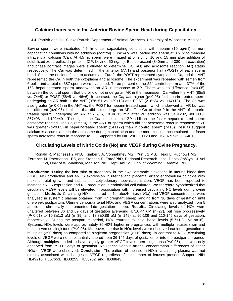#### **Calcium Increases in the Anterior Bovine Sperm Head during Capacitation.**

J.J. Parrish and J.L. Susko-Parrish. Department of Animal Sciences, University of Wisconsin-Madison.

Bovine sperm were incubated 4.5 hr under capacitating conditions with heparin (10 µg/ml) or noncapacitating conditions with no additions (control). Fura2-AM was loaded into sperm at 3.5 hr to measure intracellular calcium (Cai). At 4.5 hr, sperm were imaged at 0, 2.5, 5, 10 and 15 min after addition of solubilized zona pellucida proteins (ZP, bovine, 50 ng/ml). Epifluorescent (340nm and 380 nm excitation) and phase contrast images were evaluated to determine Ca<sub>i</sub> (nM) and acrosome reaction (AR) status respectively. The Ca<sub>i</sub> was determined in the anterior (ANT) and posterior half (POST) of each sperm head. Since the nucleus failed to accumulate Fura2, the POST represented cytoplasmic Ca<sub>i</sub> and the ANT represented the Ca<sub>i</sub> in both the cytoplasm and acrosome. The experiment was repeated with semen from 6 bulls and a total of 387 sperm were evaluated. Three percent of the 224 control sperm and 37% of the 163 heparin-treated sperm underwent an AR in response to ZP. There was no difference (p>0.05) between the control sperm that did or did not undergo an AR in the mean±sem Ca<sub>i</sub> within the ANT (85±8 vs. 74±5) or POST (58±5 vs. 46±6). In contrast, the Ca<sub>i</sub> was higher (p<0.05) for heparin-treated sperm undergoing an AR both in the ANT (378 $\pm$ 51 vs. 129 $\pm$ 13) and POST (216 $\pm$ 34 vs. 114 $\pm$ 18). The Ca<sub>i</sub> was also greater (p<0.05) in the ANT vs. the POST for heparin-treated sperm which underwent an AR but was not different (p>0.05) for those that did not undergo an AR. The Ca<sub>i</sub> at time 0 in the ANT of heparintreated sperm undergoing an AR at 2.5, 5, 10 or 15 min after ZP addition was  $540\pm202$ ,  $408\pm110$ , 367±98, and 192±49. The higher the Ca<sub>i</sub> at the time of ZP addition, the faster heparin-treated sperm acrosome reacted. The Ca<sub>i</sub> (time 0) in the ANT of sperm which did not acrosome react in response to ZP was greater ( $p < 0.05$ ) in heparin-treated sperm ( $141 \pm 22$ ) than in control sperm ( $74 \pm 5$ ). Results suggest calcium is accumulated in the acrosome during capacitation and the more calcium accumulated the faster sperm acrosome react in response to ZP. Supported by NIH 29HD31120 and USDA 97-35203-4612

#### **Circulating Levels of Nitric Oxide (No) and VEGF during Ovine Pregnancy.**

Ronald R. Magness1,2 PhD, Kimberly A. Vonnahme3 MS, Yun Li1 MS, Heidi L. Rupnow1 MS, Terrance M. Phernetton1 BS, and Stephen P. Ford3PhD, Perinatal Research Labs, Depts Ob/Gyn1 & Ani Sci, Univ of WI-Madison, Madison WI2, Dept. Ani Sci, Univ of Wyoming, Laramie, WY3.

**Introduction**: During the last third of pregnancy in the ewe, dramatic elevations in uterine blood flow (UBF), NO production and eNOS expression in uterine and placental artery endothelium coincide with maximal fetal growth and substantial cotyledonary neovascularization. VEGF has been reported to increase eNOS expression and NO production in endothelial cell cultures. We therefore hypothesized that circulating VEGF levels will be elevated in association with increased circulating NO levels during ovine gestation. **Methods**: Circulating NO measured as Nitrates/Nitrites (NOx) and VEGF concentrations were analyzed in systemic plasma obtained from 47 pregnant sheep ranging from 36 days of gestation until one week postpartum. Uterine venous-arterial NOx and VEGF concentrations were also analyzed from 5 additional chronically instrumented late gestation sheep. **Results**: Circulating levels of NOx were unaltered between 36 and 89 days of gestation averaging 4.7±0.44 uM (n=27), but rose progressively (P<0.01) to 10.3±1.3 uM (n=39) and 18.8±0.88 uM (n=149) at 90-109 and 110-145 days of gestation, respectively. During the postpartum period, NOx returned to initial basal levels (5.7±1.3 uM; n=16). Systemic NOx levels were approximately 30-40% higher in pregnancies with multiple fetuses (twin and triplets) versus singletons (P<0.05). Moreover, the rise in NOx levels were observed earlier in gestation in multiples (>90 days) as compared to singleton pregnancies (>110 days). In contrast to NOx, circulating levels of VEGF were not substantially altered from 36-145 days of gestation or into the postpartum period. Although multiples tended to have slightly greater VEGF levels then singletons (P<0.05), this was only observed from 75-110 days of gestation. No uterine venous-arterial concentration differences of either NOx or VEGF were observed. **Conclusion**. The pattern of the rise in NO in circulating plasma was not directly associated with changes in VEGF regardless of the number of fetuses present. Support: NIH HL49210, HL57653, HD33255, HL56702, and HD38843.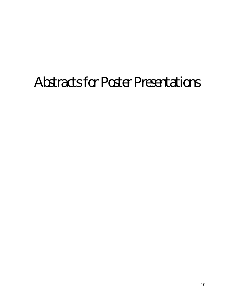# *Abstracts for Poster Presentations*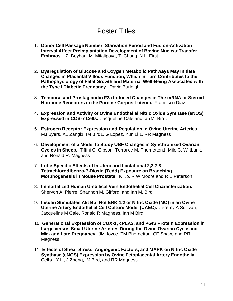# Poster Titles

- 1. **Donor Cell Passage Number, Starvation Period and Fusion-Activation Interval Affect Preimplantation Development of Bovine Nuclear Transfer Embryos.** Z. Beyhan, M. Mitalipova, T. Chang, N.L. First
- 2. **Dysregulation of Glucose and Oxygen Metabolic Pathways May Initiate Changes in Placental Villous Function, Which in Turn Contributes to the Pathophysiology of Fetal Growth and Maternal Well-Being Associated with the Type I Diabetic Pregnancy.** David Burleigh
- 3. **Temporal and Prostaglandin F2a Induced Changes in The mRNA or Steroid Hormone Receptors in the Porcine Corpus Luteum.** Francisco Diaz
- 4. **Expression and Activity of Ovine Endothelial Nitric Oxide Synthase (eNOS) Expressed in COS-7 Cells.** Jacqueline Cale and Ian M. Bird.
- 5. **Estrogen Receptor Expression and Regulation in Ovine Uterine Arteries.**  MJ Byers, AL Zangl1, IM Bird1, G Lopez, Yun Li 1, RR Magness
- 6. **Development of a Model to Study UBF Changes in Synchronized Ovarian Cycles in Sheep.** Tiffini C. Gibson, Terrance M. Phernetton1, Milo C. Wiltbank, and Ronald R. Magness
- 7. **Lobe-Specific Effects of In Utero and Lactational 2,3,7,8- Tetrachlorodibenzo-P-Dioxin (Tcdd) Exposure on Branching Morphogenesis in Mouse Prostate.** K Ko, R W Moore and R E Peterson
- 8. **Immortalized Human Umbilical Vein Endothelial Cell Characterization.**  Shervon A. Pierre, Shannon M. Gifford, and Ian M. Bird
- 9. **Insulin Stimulates Akt But Not ERK 1/2 or Nitric Oxide (NO) in an Ovine Uterine Artery Endothelial Cell Culture Model (UAEC).** Jeremy A Sullivan, Jacqueline M Cale, Ronald R Magness, Ian M Bird.
- 10. **Generational Expression of COX-1, cPLA2, and PGIS Protein Expression in Large versus Small Uterine Arteries During the Ovine Ovarian Cycle and Mid- and Late Pregnancy.** JM Joyce, TM Phernetton, CE Shaw, and RR Magness.
- 11. **Effects of Shear Stress, Angiogenic Factors, and MAPK on Nitric Oxide Synthase (eNOS) Expression by Ovine Fetoplacental Artery Endothelial Cells.** Y Li, J Zheng, IM Bird, and RR Magness.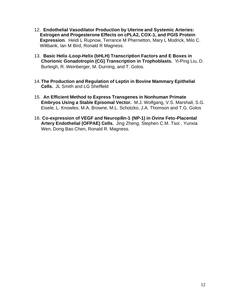- 12. **Endothelial Vasodilator Production by Uterine and Systemic Arteries: Estrogen and Progesterone Effects on cPLA2, COX-1, and PGIS Protein Expression**. Heidi L Rupnow, Terrance M Phernetton, Mary L Modrick, Milo C. Wiltbank, Ian M Bird, Ronald R Magness.
- 13. **Basic Helix-Loop-Helix (bHLH) Transcription Factors and E Boxes in Chorionic Gonadotropin (CG) Transcription in Trophoblasts.** Yi-Ping Liu, D. Burleigh, R. Weinberger, M. Durning, and T. Golos.
- 14.**The Production and Regulation of Leptin in Bovine Mammary Epithelial Cells.** JL Smith and LG Sheffield
- 15. **An Efficient Method to Express Transgenes in Nonhuman Primate Embryos Using a Stable Episomal Vector.** M.J. Wolfgang, V.S. Marshall, S.G. Eisele, L. Knowles, M.A. Browne, M.L. Schotzko, J.A. Thomson and T.G. Golos
- 16. **Co-expression of VEGF and Neuropilin-1 (NP-1) in Ovine Feto-Placental Artery Endothelial (OFPAE) Cells.** Jing Zheng, Stephen C.M. Tsoi , Yunxia Wen, Dong Bao Chen, Ronald R. Magness.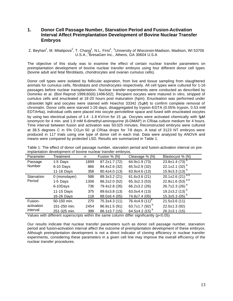#### **1. Donor Cell Passage Number, Starvation Period and Fusion-Activation Interval Affect Preimplantation Development of Bovine Nuclear Transfer Embryos**

Z. Beyhan<sup>1</sup>, M. Mitalipova<sup>2</sup>, T. Chang<sup>1</sup>, N.L. First<sup>1</sup>, <sup>1</sup>University of Wisconsin-Madison, Madison, WI 53706 U.S.A.,<sup>2</sup> BresaGen Inc., Athens, GA 30604 U.S.A

The objective of this study was to examine the effect of certain nuclear transfer parameters on preimplantation development of bovine nuclear transfer embryos using four different donor cell types (bovine adult and fetal fibroblasts, chondrocytes and ovarian cumulus cells).

Donor cell types were isolated by follicular aspiration, from live and tissue sampling from slaughtered animals for cumulus cells, fibroblasts and chondrocytes respectively. All cell types were cultured for 1-16 passages before nuclear transplantation. Nuclear transfer experiments were conducted as described by Dominko et al. (Biol Reprod 1999;60(6):1496-502). Recipient oocytes were matured in vitro, stripped of cumulus cells and enucleated at 18-20 hours post maturation (hpm). Enucleation was performed under ultraviolet light and oocytes were stained with Hoechst 33342 (5μM) to confirm complete removal of chromatin. Donor cells were starved 1-26 days, disaggregated by trypsin-EDTA (0.05% trypsin, 0.53 mM EDTA•Na), individual cells were placed into oocyte perivitelline space and fused with enucleated oocytes by using two electrical pulses of 1.4 -1.8 KV/cm for 15 μs. Oocytes were activated chemically with 5μM ionomycin for 4 min. and 1.9 mM 6-dimethyl-aminopurine (6-DMAP) in CRIaa culture medium for 4 hours. Time interval between fusion and activation was 50-325 minutes. Reconstructed embryos were cultured at 38.5 degrees C in 5% CO<sub>2</sub>in 50  $\mu$  CRIaa drops for 7-8 days. A total of 3123 NT embryos were produced in 117 trials using one type of donor cell in each trial. Data were analyzed by ANOVA and means were compared by protected LSD. Results are summarized in Table 1.

| Parameter  | Treatment     | n    | Fusion % (N)        | Cleavage % (N)                   | Blastocyst % (N)                   |
|------------|---------------|------|---------------------|----------------------------------|------------------------------------|
| Passage    | 1-5 Days      | 1899 | $87.2 \pm 1.7$ (72) | $64.9 \pm 1.9$ (73)              | $23.8 \pm 1.4$ (73) <sup>a</sup>   |
| Number     | 6-10 Days     | 866  | $84.4 \pm 2.6$ (32) | $65.5 \pm 2.9$ (32)              | 22.1 $\pm$ 2.1 (32) <sup>a</sup>   |
|            | 11-16 Days    | 358  | $80.4 \pm 4.0$ (13) | $63.9 \pm 4.6$ (13)              | $15.9 \pm 3.3$ (13)                |
| Starvation | 0 (monolayer) | 588  | $89.3 \pm 3.2$ (21) | $61.6 \pm 3.6$ (21)              | $20.1 \pm 2.6 (21)^{a,b}$          |
| Period     | 1-5 Days      | 1306 | $86.2 \pm 2.0$ (52) | $65.3 \pm 2.3$ (53)              | $22.8 \pm 1.6$ (53) <sup>a,b</sup> |
|            | 6-10Days      | 736  | $79.4 \pm 2.8$ (26) | $66.2 \pm 3.2$ (26)              | $26.7 \pm 2.3$ (26)                |
|            | 11-15 Days    | 375  | $89.6 \pm 3.8$ (13) | $63.0+4.4(13)$                   | 19.2 $\pm$ 3.2 (13) <sup>b</sup>   |
|            | 16-26 Days    | 118  | $88.0\pm 6.4(05)$   | $74.8 \pm 7.4(05)$               | $15.3 \pm 5.3$ (05)                |
| Fusion-    | 50-150 min.   | 270  | $75.3 \pm 4.3$ (11) | 76.4 $\pm$ 4.9 (11) <sup>a</sup> | $21.5 \pm 3.6$ (11)                |
| activation | 151-250 min.  | 2454 | $86.9 \pm 1.5$ (91) | 63.7±1.7 (92) <sup>b</sup>       | $22.0 \pm 1.3$ (92)                |
| interval   | 251-325 min.  | 399  | $86.1 \pm 3.7$ (15) | $64.5 \pm 4.2$ (15)              | $26.2 \pm 3.1$ (15)                |

Table 1: The effect of donor cell passage number, starvation period and fusion-activation interval on preimplantation development of bovine nuclear transfer embryos.

Values with different superscripts within the same column differ significantly (p<0.05)

Our results indicate that nuclear transfer parameters such as donor cell passage number, starvation period and fusion-activation interval affect the outcome of preimplantation development of these embryos. Although preimplantation development is not a direct indicator of cloning efficiency in nuclear transfer experiments, considering these parameters in a given cell line may improve the overall efficiency of the nuclear transfer procedures.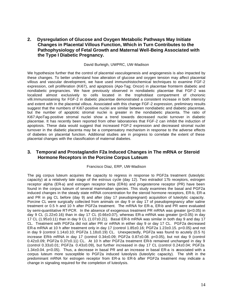#### **2. Dysregulation of Glucose and Oxygen Metabolic Pathways May Initiate Changes in Placental Villous Function, Which in Turn Contributes to the Pathophysiology of Fetal Growth and Maternal Well-Being Associated with the Type I Diabetic Pregnancy.**

#### David Burleigh, UWPRC, UW-Madison

We hypothesize further that the control of placental vasculogenesis and angiogenesis is also impacted by these changes. To better understand how alteration of glucose and oxygen tension may affect placental villous and vascular development, we have used immunohistochemical techniques to examine FGF-2 expression, cell proliferation (Ki67), and apoptosis (Apo-Tag; Oncor) in placentae fromterm diabetic and nondiabetic pregnancies. We have previously observed in nondiabetic placentae that FGF-2 was localized almost exclusively to cells located in the trophoblast compartment of chorionic villi.Immunostaining for FGF-2 in diabetic placentae demonstrated a consistent increase in both intensity and extent with in the placental villous. Associated with this change FGF-2 expression, preliminary results suggest that the numbers of Ki67-positive nuclei are similar between nondiabetic and diabetic placentae, but the number of apoptotic stromal nuclei is greater in the nondiabetic placenta. The ratio of Ki67:ApoTag-positive stromal nuclei show a trend towards decreased nuclei turnover in diabetic placentae. It has recently been reported from other laboratories that FGF-2 can inhibit the induction of apoptosis. These data would suggest that increased FGF-2 expression and decreased stromal nuclei turnover in the diabetic placenta may be a compensatory mechanism in response to the adverse effects of diabetes on placental function. Additional studies are in progress to correlate the extent of these placental changes with the classification of maternal diabetes.

#### **3. Temporal and Prostaglandin F2a Induced Changes in The mRNA or Steroid Hormone Receptors in the Porcine Corpus Luteum**

#### Francisco Diaz, ERP, UW-Madison

The pig corpus luteum acquires the capacity to regress in response to PGF2a treatment (luteolytic capacity) at a relatively late stage of the estrous cycle (day 12). Two estradiol 17b receptors, estrogen receptor alpha (ER-a) and estrogen receptor beta (ER-b) and progesterone receptor (PR) have been found in the corpus luteum of several mammalian species. This study examines the basal and PGF2a induced changes in the steady state mRNA concentration for the steroid hormone receptors, ER-b, ER-a and PR in pig CL before (day 9) and after (day 17 pseudopregnant) acquisition of luteolytic capacity. Porcine CL were surgically collected from animals on day 9 or day 17 of pseudopregnancy after saline treatment or 0.5 h and 10 h after PGF2a treatment. The mRNA for ER-a, ER-b and PR were evaluated by semi-quantitative RT-PCR. In the absence of exogenous treatment PR mRNA was greater (p<0.05) in day 9 CL (1.22 $\pm$ 0.16) than in day 17 CL (0.66 $\pm$ 0.07), whereas ER-a mRNA was greater (p<0.05) in day 17 CL (1.95±0.11) than in day 9 CL (1.07±0.21). Basal ER-b mRNA was similar in both day 9 and day 17 CL. Treatment with PGF2a did not alter PR or mRNA in either day 9 or day 17 CL. PGF2a decreased ER-a mRNA at 10 h after treatment only in day 17 (control 1.85±0.16; PGF2a 1.23±0.15. p<0.05) and not in day 9 (control 1.14±0.10; PGF2a 1.18±0.19) CL. Unexpectedly, PGF2a was found to acutely (0.5 h) increase ER-b mRNA in day 17 (control 0.34±0.09; PGF2a 0.87±0.08. p<0.05), but not day 9 (control 0.42±0.09; PGF2a 0.37±0.11) CL. At 10 h after PGF2a treatment ER-b remained unchanged in day 9 (control  $0.33\pm0.01$ ; PGF2a  $0.43\pm0.09$ ), but further increased in day 17 CL (control  $0.24\pm0.04$ ; PGF2a 1.34±0.04. p<0.05). Thus, a decrease in basal PR and an increase in basal ER-a is associated with a corpus luteum more susceptible to PGF2a induced luteolysis (luteolytic capacity). The shift in the predominant mRNA for estrogen receptor from ER-a to ER-b after PGF2a treatment may indicate a change in signaling required for the completion of luteolysis.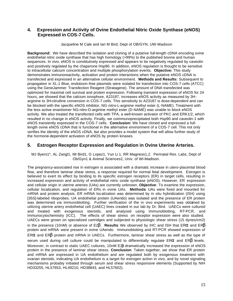#### **4. Expression and Activity of Ovine Endothelial Nitric Oxide Synthase (eNOS) Expressed in COS-7 Cells.**

Jacqueline M Cale and Ian M Bird, Dept of OB/GYN, UW-Madison

**Background:** We have described the isolation and cloning of a putative full-length cDNA encoding ovine endothelial nitric oxide synthase that has high homology (>99%) to the published bovine and human sequences. In vivo, eNOS is constitutively expressed and appears to be negatively regulated by caveolin and positively regulated by the chaperone Hsp90. In addition, eNOS regulation is thought to be sensitive to intracellular calcium concentration and multiple phosphorylation events. **Objective:** This study demonstrates immunoreactivity, activation and protein interactions when the putative eNOS cDNA is transfected and expressed in an alternative cellular environment. **Methods and Results:** Subsequent to propogation in XL-1 Blue, endotoxin-free plasmids were isolated for transfection into COS-7 cells (ATCC) using the GeneJammer Transfection Reagent (Stratagene). The amount of DNA transfected was optimized for maximal cell survival and protein expression. Following transient expression of eNOS for 24 hours, we showed that the calcium ionophore, A23187, increases eNOS activity as measured by 3Harginine to 3H-citrulline conversion in COS-7 cells. This sensitivity to A23187 is dose-dependent and can be blocked with the specific eNOS inhibitor, NG-nitro-L-arginine methyl ester (L-NAME). Treatment with the less active enantiomer NG-nitro-D-arginine methyl ester (D-NAME) was unable to block eNOS activity. We also treated the transfected cells with TPA, a well-known activator of PKC and ERK1/2, which resulted in no change in eNOS activity. Finally, we coimmunoprecipitated both Hsp90 and caveolin-1 with eNOS transiently expressed in the COS-7 cells. **Conclusion:** We have cloned and expressed a fulllength ovine eNOS cDNA that is functional in the alternative environment of a COS-7 cell. This not only verifies the identity of the eNOS cDNA, but also provides a model system that will allow further study of the hormone-dependent activation of eNOS by protein kinases.

#### **5. Estrogen Receptor Expression and Regulation in Ovine Uterine Arteries.**

MJ Byers1\*, AL Zangl1, IM Bird1, G Lopez1, Yun Li 1, RR Magness1,2. Perinatal Res. Labs, Dept of Ob/Gyn1 & Animal Sciences2, Univ. of WI-Madison.

The pregnancy-associated rise in estrogen is associated with a dramatic increase in utero-placental blood flow, and therefore laminar shear stress, a response required for normal fetal development. Estrogen is believed to exert its effect by binding to its specific estrogen receptors (ER) in target cells, resulting in increased expression and activity of endothelial nitric oxide synthase (eNOS). However, ER expression and cellular origin in uterine arteries (UAs) are currently unknown. **Objective**: To examine the expression, cellular localization, and regulation of ERs in ovine UAs. **Methods**: UAs were fixed and mounted for mRNA and protein analysis. ER mRNA localization was determined by in situ hybridization (ISH) using [35S]-labeled riboprobes. UA endothelial protein (UAendo) was isolated and the presence of ER protein was determined via Immunoblotting. Further verification of the in vivo experiments was obtained by utilizing uterine artery endothelial cell (UAEC) lines created in our lab by Dr. Bird. UAECs were cultured and treated with exogenous steroids, and analyzed using Immunoblotting, RT-PCR, and Immunocytochemistry (ICC). The effects of shear stress on receptor expression were also studied. UAECs were grown on specialized cartridges and subjected to physiologic shear stress (15 dynes/cm2) in the presence (10nM) or absence of E2β. **Results**: We observed by IHC and ISH that ERα and ERβ protein and mRNA were present in ovine UAendo. Immunoblotting and RT-PCR showed expression of ERα and ERβ protein and mRNA in UAECs. Furthermore, laminar shear stress as well as the type of serum used during cell culture could be manipulated to differentially regulate ER $\alpha$  and ER $\beta$  levels. Moreover, in contrast to static UAEC cultures, 10nM E2β dramatically increased the expression of eNOS protein in the presence of laminar shear stress. **Conclusion**: Taken together, we show that ER protein and mRNA are expressed in UA endothelium and are regulated both by exogenous treatment with ovarian steroids, indicating UA endothelium is a target for estrogen action in vivo, and by novel signaling mechanisms probably initiated through serum and shear stress responsive elements (Supported by NIH HD33255, HL57653, HL49210, HD38843, and HL57602).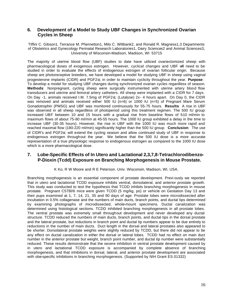#### **6. Development of a Model to Study UBF Changes in Synchronized Ovarian Cycles in Sheep**

Tiffini C. Gibson1, Terrance M. Phernetton1, Milo C. Wiltbank2, and Ronald R. Magness1,3 Departments of Obstetrics and Gynecology Perinatal Research Laboratories1, Dairy Sciences2 and Animal Sciences3, University of Wisconsin-Madison, Madison, WI 53715

The majority of uterine blood flow (UBF) studies to date have utilized ovariectomized sheep with pharmacological doses of exogenous estrogen. However, cyclical changes and UBF will need to be studied in order to evaluate the effects of endogenous estrogen of ovarian follicular origin. Because sheep are photoreceptive breeders, we have developed a model for studying UBF in sheep using vaginal progesterone implants (CIDR) and PGF2α; in order to maintain cyclicity throughout the year. **Purpose** : To develop a model for studying UBF changes during synchronized ovarian cycles regardless of season. **Methods**: Nonpregnant, cycling sheep were surgically instrumented with uterine artery blood flow transducers and uterine and femoral artery catheters. All sheep were implanted with a CIDR for 7 days. On Day -1, animals received I.M. 7.5mg of PGF2α; (Lutalyse) 2x- 4 hours apart. On Day 0, the CIDR was removed and animals received either 500 IU (n=6) or 1000 IU (n=5) of Pregnant Mare Serum Gonadotrophin (PMSG) and UBF was monitored continuously for 55-75 hours. **Results**: A rise in UBF was observed in all sheep regardless of photoperiod using this treatment regimen. The 500 IU group increased UBF between 10 and 15 hours with a gradual rise from baseline flows of 5-10 ml/min to maximum flows of about 75-80 ml/min at 45-55 hours. The 1000 IU group exhibited a delay in the time to increase UBF (30-35 hours). However, the rise in UBF with the 1000 IU was much more rapid and reached maximal flow (180-220 ml/min) significantly higher than the 500 IU group. **Conclusion**: The use of CIDR's and PGF2α; will extend the cycling season and allow continued study of UBF in response to endogenous estrogen throughout the year. We believe that the 500 IU dose is a more accurate representation of a true physiologic response to endogenous estrogen as compared to the 1000 IU dose which is a more pharmacological dose.

#### **7. Lobe-Specific Effects of In Utero and Lactational 2,3,7,8-Tetrachlorodibenzo-P-Dioxin (Tcdd) Exposure on Branching Morphogenesis in Mouse Prostate.**

#### K Ko, R W Moore and R E Peterson. Univ. Wisconsin, Madison, WI, USA.

Branching morphogenesis is an essential component of prostate development. Previ ously we reported that in utero and lactational TCDD exposure inhibits ventral, dorsolateral, and anterior prostate growth. This study was conducted to test the hypothesis that TCDD inhibits branching morphogenesis in mouse prostate. Pregnant C57BI/6 mice were given TCDD (5 mg/kg, po) or vehicle on Gestation Day 13 and their pups examined at 1, 7, 14, 21, 35 and 90 days of age. Prostate lobes were microdissected after incubation in 0.5% collagenase and the numbers of main ducts, branch points, and ductal tips determined by examining photographs of microdissected, whole-mount specimens. Ductal canalization was determined using histological sections. TCDD inhibited branching morphogenesis in all prostate lobes. The ventral prostate was extremely small throughout development and never developed any ductal structure. TCDD reduced the numbers of main ducts, branch points, and ductal tips in the dorsal prostate and the lateral prostate, but reductions in branch point and ductal tip numbers appear to be due entirely to reductions in the number of main ducts. Duct length in the dorsal and lateral prostates also appeared to be shorter. Dorsolateral prostate weights were slightly reduced by TCDD, but there did not appear to be any effect on ductal canalization in either the dorsal or lateral lobes. TCDD had no effect on main duct number in the anterior prostate but weight, branch point number, and ductal tip number were substantially reduced. These results demonstrate that the severe inhibition in ventral prostate development caused by in utero and lactational TCDD exposure is accompanied by complete absence of branching morphogenesis, and that inhibitions in dorsal, lateral, and anterior prostate development are associated with obe-specific inhibitions in branching morphogenesis. (Supported by NIH Grant ES 01332)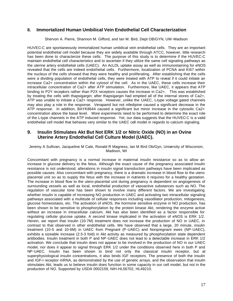#### **8. Immortalized Human Umbilical Vein Endothelial Cell Characterization**

Shervon A. Pierre, Shannon M. Gifford, and Ian M. Bird, Dept OB/GYN, UW -Madison

HUVEC-C are spontaneously immortalized human umbilical vein endothelial cells. They are an important potential endothelial cell model because they are widely available through ATCC, however, little research has been done to characterize these cells. The purpose of this study is to determine if the HUVEC-C maintain endothelial cell characteristics and to ascertain if they utilize the same cell signaling pathways as the uterine artery endothelial cells (UAEC). An AcLDL uptake assay as well as immunostaining for eNOS revealed that the cells are indeed endothelial cells. Furthermore, localization of PCNA and KI67 within the nucleus of the cells showed that they were healthy and proliferating. After establishing that the cells were a dividing population of endothelial cells, they were treated with ATP to reveal if it could initiate an increase Ca2+ concentration within the cytosol of the cell. As in the UAEC, these cells increase their intracellular concentration of Ca2+ after ATP stimulation. Furthermore, like UAEC, it appears that ATP binding to P2Y receptors rather than P2X receptors causes the increase in Ca2+. This was established by treating the cells with thapsigargin; after thapsigargin had emptied all of the internal stores of Ca2+, ATP was unable to initiate a Ca2+ response. However, unlike the UAEC, L-type voltage gated channels may also play a role in the response. Verapamil but not nifedipine caused a significant decrease in the ATP response. In addition, BAYK8644 caused a significant but minor increase in the cytosolic Ca2+ concentration above the basal level. More experiments need to be performed to determine the exact role of the L-type channels in the ATP induced response. Yet, our data suggests that the HUVEC-C is a valid endothelial cell model that behaves very similar to the UAEC cell model in regards to calcium signaling.

#### **9. Insulin Stimulates Akt But Not ERK 1/2 or Nitric Oxide (NO) in an Ovine Uterine Artery Endothelial Cell Culture Model (UAEC).**

Jeremy A Sullivan, Jacqueline M Cale, Ronald R Magness, Ian M Bird Ob/Gyn, University of Wisconsin, Madison, WI

Concomitant with pregnancy is a normal increase in maternal insulin resistance so as to allow an increase in glucose delivery to the fetus. Although the exact cause of the pregnancy associated insulin resistance is not understood, alterations in insulin signal transduction pathways have been implicated as possible causes. Also concomitant with pregnancy, there is a dramatic increase in blood flow to the uteroplacental unit so as to supply the fetus with the increase in nutrients it requires for a healthy gestation. The increase in blood flow to the utero-placental unit during pregnancy is dependent on angiogenesis of surrounding vessels as well as local, endothelial production of vasoactive substances such as NO. The regulation of vascular tone has been shown to involve many different factors. We are investigating whether insulin is capable of increasing NO production in UAEC and activating two intracellular signaling pathways associated with a multitude of cellular responses including vasodilator production, mitogenesis, glucose homeostasis, etc. The activation of eNOS, the hormone sensitive enzyme in NO production, has been shown to be sensitive to phosphorylation by the protein kinase Akt, rendering the enzyme active without an increase in intracellular calcium. Akt has also been identified as a factor responsible for regulating cellular glucose uptake. A second kinase implicated in the activation of eNOS is ERK 1/2. Herein, we report that insulin (10-7M) treatment does not increase the production of NO in UAEC, in contrast to that observed in other endothelial cells. We have observed that a large, 20 minute, insulin treatment (10-5 and 10-6M) in UAEC from Pregnant (P-UAEC) and Nonpregnant ewes (NP-UAEC), exhibits a sizeable increase (2.5-3 fold) in Akt activity as measured by phosphorylation state dependent antibodies. Insulin treatment in both P and NP-UAEC does not lead to a detectable increase in ERK 1/2 activation. We conclude that insulin does not appear to be involved in the production of NO in our UAEC model, nor does it appear to signal through ERK 1/2 under the conditions observed here in both P and NP-UAEC. Insulin has been shown to bind not only the classical insulin receptor, but at superphysiological insulin concentrations, it also binds IGF receptors. The presence of both the insulin and IGF-I receptor mRNA, as demonstrated by the use of genetic arrays, and the observation that insulin stimulates Akt, leads us to believe insulin does function in some capacity in our cell model, but not in the production of NO. Supported by USDA 0002159, NIH-HL56702, HL49210.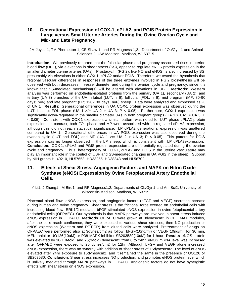#### **10. Generational Expression of COX-1, cPLA2, and PGIS Protein Expression in Large versus Small Uterine Arteries During the Ovine Ovarian Cycle and Mid- and Late Pregnancy.**

JM Joyce 1, TM Phernetton 1, CE Shaw 1, and RR Magness 1,2. Department of Ob/Gyn 1 and Animal Sciences 2, UW-Madison, Madison, WI 53715.

**Introduction**: We previously reported that the follicular phase and pregnancy-associated rises in uterine blood flow (UBF), via elevations in shear stress (SS), appear to regulate eNOS protein expression in the smaller diameter uterine arteries (UAs). Prostacyclin (PGI2), like NO and eNOS, is also increased by SS, presumably via elevations in either COX-1, cPLA2 and/or PGIS. Therefore, we tested the hypothesis that regional vascular differences in responses of the three enzymes involved in PGI2 biosynthesis will be observed with both decreases in vessel diameter and during the ovarian cycle and pregnancy, since it is known that SS-mediated mechanism(s) will be altered with elevations in UBF. **Methods**: Western analysis was performed on endothelial-isolated proteins from the primary (UA 1), secondary (UA 2), and tertiary (UA 3) branches of the UA in luteal (LUT; n=6), follicular (FOL; n=6), mid pregnant (MP; 80-90 days; n=6) and late pregnant (LP; 120-130 days; n=6) sheep. Data were analyzed and expressed as % of UA 1. **Results**: Generational differences in UA COX-1 protein expression was observed during the LUT, but not FOL phase (UA 1  $\ge$ /= UA 2 > UA 3; P < 0.05). Furthermore, COX-1 expression was significantly down-regulated in the smaller diameter UAs in both pregnant groups (UA  $1 > \text{U}$ A2 = UA 3; P < 0.05). Consistent with COX-1 expression, a similar pattern was noted for LUT phase cPLA2 protein expression. In contrast, both FOL phase and MP were associated with up-regulated cPLA2 expression, although this did not reach statistical significance. LP cPLA2 generational expression was unaltered compared to UA 1. Generational differences in UA PGIS expression was also observed during the ovarian cycle (LUT and FOL) and MP (UA 1  $\ge$ /= UA 2 > UA 3; P < 0.05). This pattern for PGIS expression was no longer observed in the LP sheep, which is consistent with LP cPLA2expression. **Conclusion**: COX-1, cPLA2 and PGIS protein expression are differentially regulated during the ovarian cycle and pregnancy. Thus, heterogeneity of COX-1, cPLA2 and PGIS in the uterine vasculature may play an important role in the control of UBF and SS-mediated changes in UA PGI2 in the sheep. Support by NIH grants HL49210, HL57653, HD33255, HD38843,and HL56702.

#### **11. Effects of Shear Stress, Angiogenic Factors, and MAPK on Nitric Oxide Synthase (eNOS) Expression by Ovine Fetoplacental Artery Endothelial Cells.**

Y Li1, J Zheng1, IM Bird1, and RR Magness1,2. Departments of Ob/Gyn1 and Ani Sci2, University of Wisconsin-Madison, Madison, WI 53715.

Placental blood flow, eNOS expression, and angiogenic factors (bFGF and VEGF) secretion increase during human and ovine pregnancy. Shear stress is the frictional force exerted on endothelial cells with increasing blood flow. ERK1/2 mediates bFGF stimulated eNOS expression in ovine fetoplacental artery endothelial cells (OFPAEC). Our hypothesis is that MAPK pathways are involved in shear stress induced eNOS expression in OFPAEC. **Methods**: OFPAEC were grown at 3dynes/cm2 in CELLMAX modules, after the cells reach confluence, they were exposed to various shear stresses, then NO production or eNOS expression (Western and RT-PCR) from eluted cells were analyzed. Pretreatment of drugs on OFPAEC were performed also at 3dynes/cm2 as follow: bFGF(10ng/ml) or VEGF(10ng/ml) for 30 min, MEK inhibitor UO126(10uM) or P38 MAPK inhibitor SB203580(10uM) for 1 hour. **Results**: eNOS protein was elevated by 10(1.8-fold) and 25(3-fold) dynes/cm2 from 6 to 24hr. eNOS mRNA level was increased after OFPAEC were exposed to 25 dynes/cm2 for 12hr. Although bFGF and VEGF alone increased eNOS expression, there was no synergy with addition of shear stress of 15dynes/cm2. The level of eNOS elevated after 24hr exposure to 15dynes/cm2, and it remained the same in the presence of UO126 or SB203580. **Conclusion**: Shear stress increases NO production, and promotes eNOS protein level which is unlikely mediated through MAPK pathways in OFPAEC. Angiogenic factors do not have synergistic effects with shear stress on eNOS expression.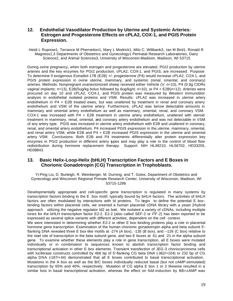#### **12. Endothelial Vasodilator Production by Uterine and Systemic Arteries: Estrogen and Progesterone Effects on cPLA2, COX-1, and PGIS Protein Expression.**

Heidi L Rupnow1, Terrance M Phernetton1, Mary L Modrick1, Milo C. Wiltbank2-, Ian M Bird1, Ronald R Magness1,3 Departments of Obstetrics and Gynecology1 Perinatal Research Laboratories, Dairy Science2, and Animal Sciences3, University of Wisconsin-Madison, Madison, WI 53715

During ovine pregnancy, when both estrogen and progesterone are elevated, PGI2 production by uterine arteries and the key enzymes for PGI2 production, cPLA2, COX-1, and PGIS, are increased. Purpose: To determine if exogenous Estradiol-17B (E2B) +/- progesterone (P4) would increase cPLA2, COX-1, and PGIS protein expression in ovine uterine, mammary, and systemic (renal, omental, and coronary) arteries. Methods: Nonpregnant ovariectomized sheep received either Vehicle (V; n=10), P4 (0.9g CIDRs vaginal implants; n=13), E2B(5ug/kg bolus followed by 6ug/kg/d; n=10), or P4 + E2B(n=12). Arteries were procured on day 10 and cPLA2, COX-1, and PGIS protein was measured by Western immunoblot analysis in endothelial isolated proteins and VSM. Results: cPLA2 was increased in uterine artery endothelium in P4 + E2B treated ewes, but was unaltered by treatment in renal and coronary artery endothelium and VSM of the uterine artery. Furthermore, cPLA2 was below detectable amounts in mammary and omental artery endothelium as well as mammary, omental, renal, and coronary VSM. COX-1 was increased with P4 + E2B treatment in uterine artery endothelium, unaltered with steroid treatment in mammary, renal, omental, and coronary artery endothelium and was not detectable in VSM of any artery type. PGIS was increased in uterine artery endothelium with E2B and unaltered in coronary, renal, and omental artery endothelium. P4 increased PGIS expression in the uterine, mammary, omental, and renal artery VSM, while E2B and P4 + E2B increased PGIS expression in the uterine and omental artery VSM. Conclusions: Both E2B and P4 treatments differentially alter protein expression key enzymes in PGI2 production in different artery types and may play a role in the control of blood flow redistribution during hormone replacement therapy. Support: NIH HL49210, HL56702, HD33255, HD38843.

#### **13. Basic Helix-Loop-Helix (bHLH) Transcription Factors and E Boxes in Chorionic Gonadotropin (CG) Transcription in Trophoblasts.**

Yi-Ping Liu, D. Burleigh, R. Weinberger, M. Durning, and T. Golos, Department of Obstetrics and Gynecology and Wisconsin Regional Primate Research Center, University of Wisconsin, Madison, WI 53715-1299.

Developmentally appropriate and cell-specific gene transcription is regulated in many systems by transcription factors binding to the E box motif, typically bound by bHLH factors. The activities of bHLH factors are often modulated by interactions with Id proteins. To begin to define the potential E boxbinding factors within placental cells, we sreened a human placental cDNA library with a yeast 2-hybrid approach utilizing the negative regulator Id2 as bait. We isolated a variety of cDNAs, including multiple lones for the bHLH transcription factor E2-2. E2-2 (also called SEF-2 or ITF-2) has been reported to be expressed as several splice variants with different activities, dependent on the cell context.

We were interested in determining whether E2-2 or other E box-binding proteins play a role in placental hormone gene transcription. Examination of the human chorionic gonadotropin alpha and beta subunit 5' flanking DNA revealed three E box-like motifs at -274 (A box), -135 (B box), and -126 (C box) relative to the start site of transcription in the beta subunit gene, and two E boxes at -51 and -21 in the alpha subunit gene. To examine whether these elements play a role in gene transcription, all E boxes were mutated individually or in combination to sequences known to abolish transcription factor binding and transcriptional activation in other E box elements. Transient transfection of JEG-3 choriocarcinoma cells with luciferase constructs controlled by 466 bp of 5'-flanking CG beta DNA (-362/+104) or 232 bp of CG alpha DNA (-187/+44) demonstrated that all E boxes contributed to basal transcriptional activation. Mutations in the A box as well as the B/C boxes individually reduced basal (but not cAMP-stimulated) transcription by 65% and 40%, respectively. Mutation of CG alpha E box 1 or 2 likewise resulted in a similar loss in basal transcriptional activation, whereas the effect on fold-induction by 8-Br-cAMP was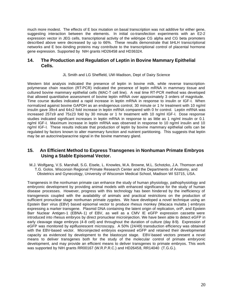much more modest. The effects of E box mutation on basal transcription was not additive for either gene, suggesting interaction between the elements. In initial co-transfection experiments with an E2-2 expression vector in JEG cells, transcriptional activity of the wild-type CG alpha and CG beta promoters described above were decreased by up to 66%. These results demonstrate that bHLH transcriptional networks and E box -binding proteins may contribute to the transcriptional control of placental hormone gene expression. Supported by NIH grants HD26458 and HD36324.

#### **14. The Production and Regulation of Leptin in Bovine Mammary Epithelial Cells.**

#### JL Smith and LG Sheffield, UW-Madison, Dept of Dairy Science

Western blot analysis indicated the presence of leptin in bovine milk, while reverse transcriptionpolymerase chain reaction (RT-PCR) indicated the presence of leptin mRNA in mammary tissue and cultured bovine mammary epithelial cells (MAC-T cell line). A real time RT-PCR method was developed that allowed quantitative assessment of bovine leptin mRNA over approximately 3 orders of magnitude. Time course studies indicated a rapid increase in leptin mRNA in response to insulin or IGF-I. When normalized against bovine GAPDH as an endogenous control, 30 minute or 1 hr treatment with 10 ng/ml insulin gave 39±4 and 64±2 fold increase in leptin mRNA compared with 0 hr control. Leptin mRNA was increased 257±9 and 75±23 fold by 30 minute or 1 hr treatment with 10 ng/ml IGF-I. Dose response studies indicated significant increases in leptin mRNA in response to as little as 1 ng/ml insulin or 0.1 ng/ml IGF-I. Maximum increase in leptin mRNA was observed in response to 10 ng/ml insulin and 10 ng/ml IGF-I. These results indicate that production of leptin by bovine mammary epithelial cells can be regulated by factors known to alter mammary function and nutrient partitioning. This suggests that leptin may be an autocrine/paracrine signal in the bovine mammary gland.

#### **15. An Efficient Method to Express Transgenes in Nonhuman Primate Embryos Using a Stable Episomal Vector.**

M.J. Wolfgang, V.S. Marshall, S.G. Eisele, L. Knowles, M.A. Browne, M.L. Schotzko, J.A. Thomson and T.G. Golos. Wisconsin Regional Primate Research Center and the Departments of Anatomy, and Obstetrics and Gynecology, University of Wisconsin Medical School, Madison WI 53715, USA.

Trangenesis in the nonhuman primate can enhance the study of human physiology, pathophysiology and embryonic development by providing animal models with enhanced significance for the study of human disease processes. However, progress with this technology has been hindered by the inefficiency of transgenesis coupled with the availability of animals and practical restrictions on the production of sufficient pronuclear stage nonhuman primate zygotes. We have developed a novel technique using an Epstein Barr virus (EBV) based episomal vector to produce rhesus monkey (Macaca mulatta ) embryos expressing a marker transgene. Plasmid DNA containing the latent origin of replication, oriP, and Epstein Barr Nuclear Antigen-1 (EBNA-1) of EBV, as well as a CMV IE eGFP expression cassette were introduced into rhesus embryos by direct pronuclear microinjection. We have been able to detect eGFP in early cleavage stage embryos (4-8 cell) and throughout the duration of culture (day 8-9). Expression of eGFP was monitored by epifluorescent microscopy. A 50% (24/49) transduction efficiency was obtained with the EBV-based vector. Microinjected embryos expressed eGFP and retained their developmental capacity as evidenced by development to the blastocyst stage. EBV-based vectors present a novel means to deliver transgenes both for the study of the molecular control of primate embryonic development, and may provide an efficient means to deliver transgenes to primate embryos. This work was supported by NIH grants RR00167 (W.R.P.R.C.) and HD26458, RR14040 (T.G.G.).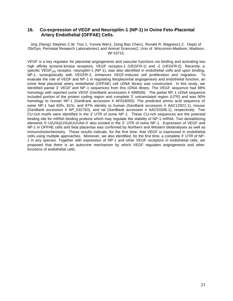#### **16. Co-expression of VEGF and Neuropilin-1 (NP-1) in Ovine Feto-Placental Artery Endothelial (OFPAE) Cells.**

Jing Zheng1 Stephen C.M. Tsoi 1, Yunxia Wen1, Dong Bao Chen1, Ronald R. Magness1,2. Depts of Ob/Gyn, Perinatal Research Laboratories1 and Animal Sciences2, Univ of Wisconsin-Madison, Madison, WI 53715.

VEGF is a key regulator for placental angiogenesis and vascular functions via binding and activating two high affinity tyrosine-kinase receptors, VEGF receptor-1 (VEGFR-1) and -2 (VEGFR-2). Recently, a specific VEGF<sub>165</sub> receptor, neuropilin-1 (NP-1), was also identified in endothelial cells and upon binding, NP-1, synergistically with VEGFR-2, enhances VEGF-induced cell proliferation and migration. To evaluate the role of VEGF and NP-1 in regulating fetoplacental angiogenesis and endothelial function, an ovine fetal placental artery endothelial (OFPAE) cell cDNA library was constructed. In this study, we identified partial 3' VEGF and NP-1 sequences from this cDNA library. The VEGF sequence had 98% homology with reported ovine VEGF (GenBank accesssion # X89506). The partial NP-1 cDNA sequence included portion of the protein coding region and complete 3' untranslated region (UTR) and was 90% homology to human NP-1 (GenBank accession # AF016050). The predicted amino acid sequence of ovine NP-1 had 83%, 81%, and 87% identity to human (GenBank accession # AAC12921.1), mouse (GenBank accession # NP\_032763), and rat (GenBank accession # AAC53345.1), respectively. Two CU-rich motifs were identified in the 3' UTR of ovine NP-1. These CU-rich sequences are the potential binding site for mRNA-binding proteins which may regulate the stability of NP-1 mRNA. Two destabilizing elements 5'-U(U/A)(U/A)AUUUAA-3' also existed in the 3' UTR of ovine NP-1. Expression of VEGF and NP-1 in OFPAE cells and fetal placentas was confirmed by Northern and Western blotanalyses as well as immunohistochemistry. These results indicate, for the first time, that VEGF is expressed in endothelial cells using multiple approaches. Moreover, we also identified, for the first time, a complete 3' UTR of NP-1 in any species. Together with expression of NP-1 and other VEGF receptors in endothelial cells, we proposed that there is an autocrine mechanism by which VEGF regulates angiogenesis and other functions of endothelial cells.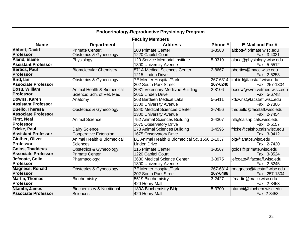| <b>Endocrinology-Reproductive Physiology Program</b><br><b>Faculty Members</b> |                                                          |                                                                      |                      |                                                      |
|--------------------------------------------------------------------------------|----------------------------------------------------------|----------------------------------------------------------------------|----------------------|------------------------------------------------------|
| <b>Name</b>                                                                    | <b>Department</b>                                        | <b>Address</b>                                                       | Phone #              | <b>E-Mail and Fax #</b>                              |
| <b>Abbott, David</b><br><b>Professor</b>                                       | Primate Center;<br><b>Obstetrics &amp; Gynecology</b>    | 203 Primate Center<br>1220 Capitol Court                             | 3-3583               | abbott@primate.wisc.edu<br>Fax: 3-4031               |
| <b>Alarid, Elaine</b><br><b>Assistant Professor</b>                            | Physiology                                               | 120 Service Memorial Institute<br>1300 University Avenue             | 5-9319               | alarid@physiology.wisc.edu<br>Fax: 5-5512            |
| <b>Bertics, Paul</b><br><b>Professor</b>                                       | <b>Biomolecular Chemistry</b>                            | 571A Medical Sciences Center<br>1215 Linden Drive                    | 2-8667               | pbertics@macc.wisc.edu<br>Fax: 2-5253                |
| Bird, lan<br><b>Associate Professor</b>                                        | <b>Obstetrics &amp; Gynecology</b>                       | <b>7E Meriter Hospital/Park</b><br>202 South Park Street             | 267-6240             | 267-6314   imbird@facstaff.wisc.edu<br>Fax: 257-1304 |
| <b>Bosu, William</b><br><b>Professor</b>                                       | Animal Health & Biomedical<br>Science; Sch. of Vet. Med  | 2031 Veterinary Medicine Building<br>2015 Linden Drive               | 2-8106               | bosuw@svm.vetmed.wisc.edu<br>Fax: 5-6748             |
| Downs, Karen<br><b>Assistant Professor</b>                                     | Anatomy                                                  | 263 Bardeen Medical Labs<br>1300 University Avenue                   | $5 - 5411$           | kdowns@facstaff.wisc.edu<br>Fax: 2-7306              |
| <b>Duello, Theresa</b><br><b>Associate Professor</b>                           | Obstetrics & Gynecology                                  | 5240 Medical Sciences Center<br>1300 University Avenue               | 2-7456               | tmduello@facstaff.wisc.edu<br>Fax: 2-7454            |
| <b>First, Neal</b><br>Professor                                                | <b>Animal Science</b>                                    | 752 Animal Sciences Building<br>1675 Observatory Drive               | 3-4307               | nlf@calshp.cals.wisc.edu<br>Fax: 2-5157              |
| <b>Fricke, Paul</b><br><b>Assistant Professor</b>                              | Dairy Science<br><b>Cooperative Extension</b>            | 278 Animal Sciences Building<br>1675 Observatory Drive               | 3-4596               | fricke@calshp.cals.wisc.edu<br>Fax: 3-9412           |
| <b>Ginther, Oliver</b><br><b>Professor</b>                                     | Animal Health & Biomedical<br><b>Sciences</b>            | B1 Animal Health & Biomedical Sc. 1656 2-1037<br><b>Linden Drive</b> |                      | ojg@ahabs.wisc.edu<br>Fax: 2-7420                    |
| <b>Golos, Thaddeus</b><br><b>Associate Professor</b>                           | Obstetrics & Gynecology;<br><b>Primate Center</b>        | 115 Primate Center<br>1220 Capitol Court                             | 3-3567               | golos@primate.wisc.edu<br>Fax: 3-3524                |
| Jefcoate, Colin<br><b>Professor</b>                                            | Pharmacology;                                            | 3630 Medical Science Center<br>1300 University Avenue                | 3-3975               | jefcoate@facstaff.wisc.edu<br>Fax: 2-5245            |
| <b>Magness, Ronald</b><br><b>Professor</b>                                     | <b>Obstetrics &amp; Gynecology</b>                       | <b>7E Meriter Hospital/Park</b><br>202 South Park Street             | 267-6314<br>267-6498 | rmagness@facstaff.wisc.edu<br>Fax: 257-1304          |
| <b>Martin, Thomas</b><br><b>Professor</b>                                      | Biochemistry                                             | 5519 Biochemistry<br>420 Henry Mall                                  | 3-2427               | tfmartin@macc.wisc.edu<br>Fax: 2-3453                |
| Ntambi, James<br><b>Associate Professor</b>                                    | <b>Biochemistry &amp; Nutritional</b><br><b>Sciences</b> | 180A Biochemistry Bldg.<br>420 Henry Mall                            | 5-3700               | ntambi@biochem.wisc.edu<br>Fax 2-3453                |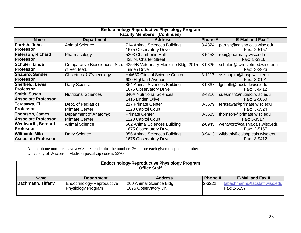| <b>Endocrinology-Reproductive Physiology Program</b><br><b>Faculty Members (Continued)</b> |                                                 |                                                        |         |                                              |
|--------------------------------------------------------------------------------------------|-------------------------------------------------|--------------------------------------------------------|---------|----------------------------------------------|
| <b>Name</b>                                                                                | <b>Department</b>                               | <b>Address</b>                                         | Phone # | <b>E-Mail and Fax #</b>                      |
| Parrish, John<br><b>Professor</b>                                                          | <b>Animal Science</b>                           | 714 Animal Sciences Building<br>1675 Observatory Drive | 3-4324  | parrish@calshp.cals.wisc.edu<br>Fax: 2-5157  |
| <b>Peterson, Richard</b><br><b>Professor</b>                                               | Pharmacology                                    | 5203 Chamberlin Hall<br>425 N. Charter Street          | 3-5453  | rep@pharmacy.wisc.edu<br>Fax: 5-3316         |
| Schuler, Linda<br><b>Professor</b>                                                         | Comparative Biosciences; Sch.<br>of Vet. Med.   | 4354/B Veterinary Medicine Bldg. 2015<br>Linden Drive  | 3-9825  | schulerl@svm.vetmed.wisc.edu<br>Fax: 3-3926  |
| <b>Shapiro, Sander</b><br><b>Professor</b>                                                 | <b>Obstetrics &amp; Gynecology</b>              | H4/630 Clinical Science Center<br>600 Highland Avenue  | 3-1217  | ss.shapiro@hosp.wisc.edu<br>Fax: 3-0191      |
| <b>Sheffield, Lewis</b><br><b>Professor</b>                                                | Dairy Science                                   | 864 Animal Sciences Building<br>1675 Observatory Drive | 3-9867  | lgsheffi@facstaff.wisc.edu<br>Fax: 3-9412    |
| <b>Smith, Susan</b><br><b>Associate Professor</b>                                          | Nutritional Sciences                            | <b>340A Nutritional Sciences</b><br>1415 Linden Drive  | 3-4316  | suesmith@nutrisci.wisc.edu<br>Fax: 2-5860    |
| Terasawa, Ei<br><b>Professor</b>                                                           | Dept. of Pediatrics;<br><b>Primate Center</b>   | 217 Primate Center<br>1223 Capitol Court               | 3-3579  | terasawa@primate.wisc.edu<br>Fax: 3-3524     |
| <b>Thomson, James</b><br><b>Associate Professor</b>                                        | Department of Anatomy:<br><b>Primate Center</b> | <b>Primate Center</b><br>1220 Capitol Court            | 3-3585  | thomson@primate.wisc.edu<br>Fax: 3-3517      |
| <b>Wentworth, Bernard</b><br><b>Professor</b>                                              | <b>Animal Science</b>                           | 562 Animal Sciences Building<br>1675 Observatory Drive | 2-8945  | wentwort@calshp.cals.wisc.edu<br>Fax: 2-5157 |
| <b>Wiltbank, Milo</b><br><b>Associate Professor</b>                                        | Dairy Science                                   | 856 Animal Sciences Building<br>1675 Observatory Drive | 3-9413  | wiltbank@calshp.cals.wisc.edu<br>Fax: 3-9412 |

All telephone numbers have a 608 area code plus the numbers 26 before each given telephone number. University of Wisconsin-Madison postal zip code is 53706

| <b>Endocrinology-Reproductive Physiology Program</b><br><b>Office Staff</b> |                                                  |                                                  |                 |                                             |
|-----------------------------------------------------------------------------|--------------------------------------------------|--------------------------------------------------|-----------------|---------------------------------------------|
| <b>Name</b>                                                                 | <b>Department</b>                                | <b>Address</b>                                   | Phone # $\vert$ | <b>E-Mail and Fax #</b>                     |
| Bachmann, Tiffany                                                           | Endocrinology-Reproductive<br>Physiology Program | 260 Animal Science Bldg.<br>1675 Observatory Dr. | $2 - 3222$      | tabachmann@facstaff.wisc.edu<br>Fax: 2-5157 |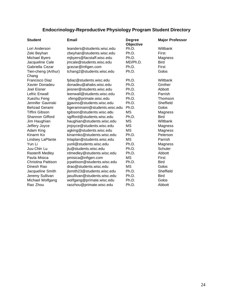## **Endocrinology-Reproductive Physiology Program Student Directory**

| <b>Student</b>        | <b>Email</b>                   | <b>Degree</b><br>Objective | <b>Major Professor</b> |
|-----------------------|--------------------------------|----------------------------|------------------------|
| Lori Anderson         | leanders@students.wisc.edu     | Ph.D.                      | Wiltbank               |
| Zeki Beyhan           | zbeyhan@students.wisc.edu      | Ph.D.                      | First                  |
| <b>Michael Byers</b>  | mjbyers@facstaff.wisc.edu      | Ph.D.                      | Magness                |
| Jacqueline Cale       | jmcale@students.wisc.edu       | MD/Ph.D.                   | <b>Bird</b>            |
| Gabriella Cezar       | gcezar@infigen.com             | Ph.D.                      | First                  |
| Tien-cheng (Arthur)   | tchang2@students.wisc.edu      | Ph.D.                      | Golos                  |
| Chang                 |                                |                            |                        |
| <b>Francisco Diaz</b> | fjdiaz@students.wisc.edu       | Ph.D.                      | Wiltbank               |
| Xavier Donadeu        | donadeu@ahabs.wisc.edu         | Ph.D.                      | Ginther                |
| Joel Eisner           | jeisner@students.wisc.edu      | Ph.D.                      | Abbott                 |
| Lefric Enwall         | leenwall@students.wisc.edu     | Ph.D.                      | Parrish                |
| Xuezhu Feng           | xfeng@primate.wisc.edu         | Ph.D.                      | Thomson                |
| Jennifer Gavinski     | jjgavins@students.wisc.edu     | Ph.D.                      | Sheffield              |
| <b>Behzad Gerami</b>  | bgeraminaini@students.wisc.edu | Ph.D.                      | Golos                  |
| Tiffini Gibson        | tgibson@students.wisc.edu      | <b>MS</b>                  | Magness                |
| Shannon Gifford       | sgifford@students.wisc.edu     | Ph.D.                      | <b>Bird</b>            |
| Jim Haughian          | haughian@students.wisc.edu     | <b>MS</b>                  | Wiltbank               |
| Jeffery Joyce         | jmjoyce@students.wisc.edu      | <b>MS</b>                  | Magness                |
| Adam King             | agking@students.wisc.edu       | <b>MS</b>                  | Magness                |
| Kinarm Ko             | kinarmko@students.wisc.edu     | Ph.D.                      | Peterson               |
| Lindsey LaPlante      | Inlaplan@students.wisc.edu     | <b>MS</b>                  | Parrish                |
| Yun Li                | yunli@students.wisc.edu        | Ph.D.                      | Magness                |
| Juu-Chin Lu           | jlu@students.wisc.edu          | Ph.D.                      | Schuler                |
| Rasterifi Medley      | rdmedley@students.wisc.edu     | Ph.D.                      | Abbott                 |
| Pavla Misica          | pmisica@infigen.com            | ΜS                         | First                  |
| Christina Pattison    | jcpattison@students.wisc.edu   | Ph.D.                      | <b>Bird</b>            |
| Dinesh Rao            | drao@students.wisc.edu         | <b>MS</b>                  | Golos                  |
| Jacqueline Smith      | jlsmith23@students.wisc.edu    | Ph.D.                      | Sheffield              |
| Jeremy Sullivan       | jasullivan@students.wisc.edu   | Ph.D.                      | <b>Bird</b>            |
| Michael Wolfgang      | wolfgang@primate.wisc.edu      | Ph.D.                      | Golos                  |
| Rao Zhou              | raozhou@primate.wisc.edu       | Ph.D.                      | Abbott                 |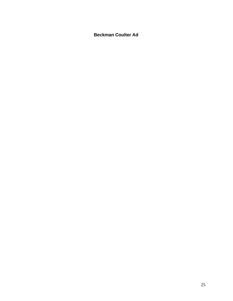**Beckman Coulter Ad**